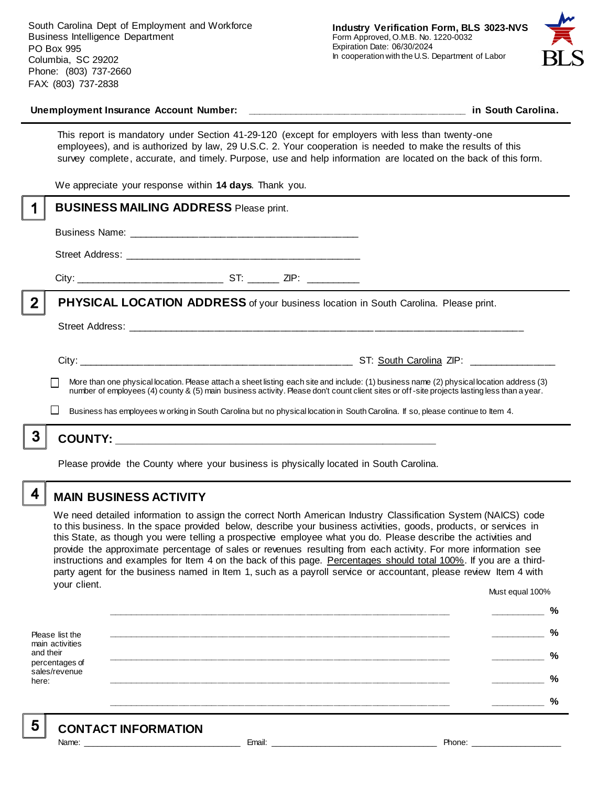South Carolina Dept of Employment and Workforce Business Intelligence Department PO Box 995 Columbia, SC 29202 Phone: (803) 737-2660 FAX: (803) 737-2838



# **Unemployment Insurance Account Number: \_\_\_\_\_\_\_\_\_\_\_\_\_\_\_\_\_\_\_\_\_\_\_\_\_\_\_\_\_\_\_\_\_\_\_\_\_\_\_\_ in South Carolina.**

This report is mandatory under Section 41-29-120 (except for employers with less than twenty-one employees), and is authorized by law, 29 U.S.C. 2. Your cooperation is needed to make the results of this survey complete, accurate, and timely. Purpose, use and help information are located on the back of this form.

We appreciate your response within **14 days**. Thank you.

|                | <b>BUSINESS MAILING ADDRESS Please print.</b>                                                                                                                                                                                                                                                            |  |  |  |
|----------------|----------------------------------------------------------------------------------------------------------------------------------------------------------------------------------------------------------------------------------------------------------------------------------------------------------|--|--|--|
|                |                                                                                                                                                                                                                                                                                                          |  |  |  |
|                |                                                                                                                                                                                                                                                                                                          |  |  |  |
|                |                                                                                                                                                                                                                                                                                                          |  |  |  |
| $\overline{2}$ | PHYSICAL LOCATION ADDRESS of your business location in South Carolina. Please print.                                                                                                                                                                                                                     |  |  |  |
|                |                                                                                                                                                                                                                                                                                                          |  |  |  |
|                |                                                                                                                                                                                                                                                                                                          |  |  |  |
|                | More than one physical location. Please attach a sheet listing each site and include: (1) business name (2) physical location address (3)<br>$\mathbf{I}$<br>number of employees (4) county & (5) main business activity. Please don't count client sites or off-site projects lasting less than a year. |  |  |  |
|                | $\mathbf{I}$<br>Business has employees w orking in South Carolina but no physical location in South Carolina. If so, please continue to Item 4.                                                                                                                                                          |  |  |  |
|                |                                                                                                                                                                                                                                                                                                          |  |  |  |
|                |                                                                                                                                                                                                                                                                                                          |  |  |  |

Please provide the County where your business is physically located in South Carolina.

4

5

# **MAIN BUSINESS ACTIVITY**

We need detailed information to assign the correct North American Industry Classification System (NAICS) code to this business. In the space provided below, describe your business activities, goods, products, or services in this State, as though you were telling a prospective employee what you do. Please describe the activities and provide the approximate percentage of sales or revenues resulting from each activity. For more information see instructions and examples for Item 4 on the back of this page. Percentages should total 100%. If you are a thirdparty agent for the business named in Item 1, such as a payroll service or accountant, please review Item 4 with your client. Must equal 100%

Please list the main activities and their percentages of sales/revenue here: **\_\_\_\_\_\_\_\_\_\_\_\_\_\_\_\_\_\_\_\_\_\_\_\_\_\_\_\_\_\_\_\_\_\_\_\_\_\_\_\_\_\_\_\_\_\_\_\_\_\_\_\_\_\_\_\_\_\_\_\_\_\_ \_\_\_\_\_\_\_\_\_\_ % \_\_\_\_\_\_\_\_\_\_\_\_\_\_\_\_\_\_\_\_\_\_\_\_\_\_\_\_\_\_\_\_\_\_\_\_\_\_\_\_\_\_\_\_\_\_\_\_\_\_\_\_\_\_\_\_\_\_\_\_\_\_ \_\_\_\_\_\_\_\_\_\_ % \_\_\_\_\_\_\_\_\_\_\_\_\_\_\_\_\_\_\_\_\_\_\_\_\_\_\_\_\_\_\_\_\_\_\_\_\_\_\_\_\_\_\_\_\_\_\_\_\_\_\_\_\_\_\_\_\_\_\_\_\_\_ \_\_\_\_\_\_\_\_\_\_ % \_\_\_\_\_\_\_\_\_\_\_\_\_\_\_\_\_\_\_\_\_\_\_\_\_\_\_\_\_\_\_\_\_\_\_\_\_\_\_\_\_\_\_\_\_\_\_\_\_\_\_\_\_\_\_\_\_\_\_\_\_\_ \_\_\_\_\_\_\_\_\_\_ % \_\_\_\_\_\_\_\_\_\_\_\_\_\_\_\_\_\_\_\_\_\_\_\_\_\_\_\_\_\_\_\_\_\_\_\_\_\_\_\_\_\_\_\_\_\_\_\_\_\_\_\_\_\_\_\_\_\_\_\_\_\_ \_\_\_\_\_\_\_\_\_\_ %**